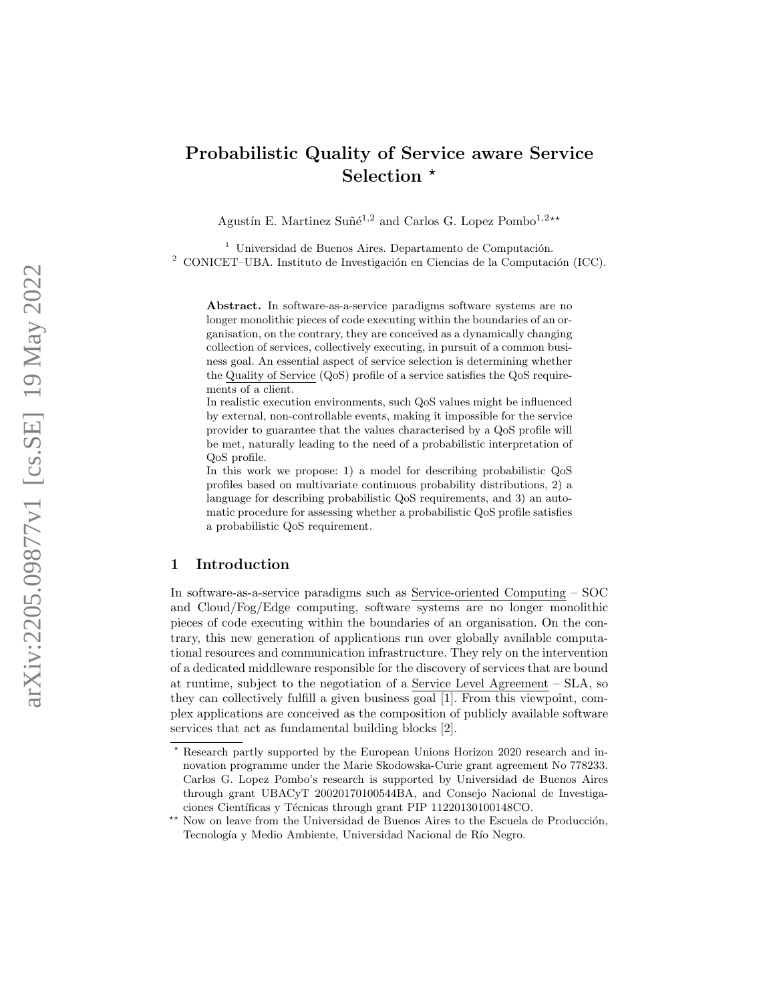# Probabilistic Quality of Service aware Service Selection<sup>\*</sup>

Agustín E. Martinez Suñé<sup>1,2</sup> and Carlos G. Lopez Pombo<sup>1,2\*\*</sup>

 $1$ Universidad de Buenos Aires. Departamento de Computación.  $2$  CONICET–UBA. Instituto de Investigación en Ciencias de la Computación (ICC).

Abstract. In software-as-a-service paradigms software systems are no longer monolithic pieces of code executing within the boundaries of an organisation, on the contrary, they are conceived as a dynamically changing collection of services, collectively executing, in pursuit of a common business goal. An essential aspect of service selection is determining whether the Quality of Service (QoS) profile of a service satisfies the QoS requirements of a client.

In realistic execution environments, such QoS values might be influenced by external, non-controllable events, making it impossible for the service provider to guarantee that the values characterised by a QoS profile will be met, naturally leading to the need of a probabilistic interpretation of QoS profile.

In this work we propose: 1) a model for describing probabilistic QoS profiles based on multivariate continuous probability distributions, 2) a language for describing probabilistic QoS requirements, and 3) an automatic procedure for assessing whether a probabilistic QoS profile satisfies a probabilistic QoS requirement.

# 1 Introduction

In software-as-a-service paradigms such as Service-oriented Computing – SOC and Cloud/Fog/Edge computing, software systems are no longer monolithic pieces of code executing within the boundaries of an organisation. On the contrary, this new generation of applications run over globally available computational resources and communication infrastructure. They rely on the intervention of a dedicated middleware responsible for the discovery of services that are bound at runtime, subject to the negotiation of a Service Level Agreement – SLA, so they can collectively fulfill a given business goal [1]. From this viewpoint, complex applications are conceived as the composition of publicly available software services that act as fundamental building blocks [2].

<sup>?</sup> Research partly supported by the European Unions Horizon 2020 research and innovation programme under the Marie Skodowska-Curie grant agreement No 778233. Carlos G. Lopez Pombo's research is supported by Universidad de Buenos Aires through grant UBACyT 20020170100544BA, and Consejo Nacional de Investigaciones Científicas y Técnicas through grant PIP 11220130100148CO.

 $\star\star$  Now on leave from the Universidad de Buenos Aires to the Escuela de Producción, Tecnología y Medio Ambiente, Universidad Nacional de Río Negro.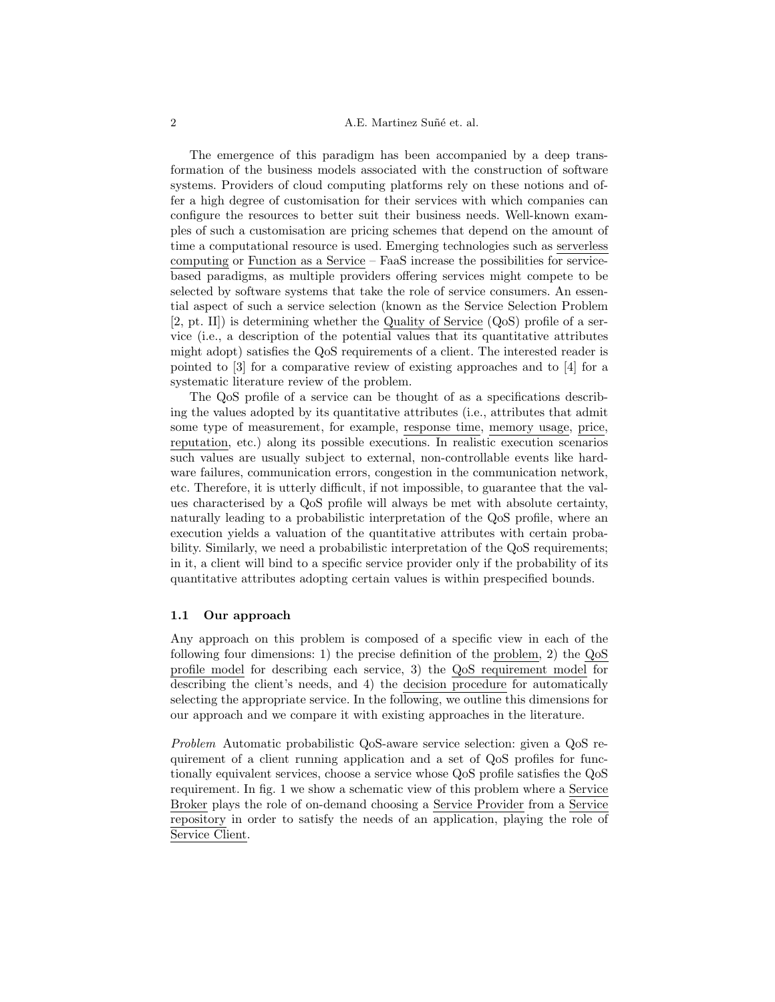#### 2 A.E. Martinez Suñé et. al.

The emergence of this paradigm has been accompanied by a deep transformation of the business models associated with the construction of software systems. Providers of cloud computing platforms rely on these notions and offer a high degree of customisation for their services with which companies can configure the resources to better suit their business needs. Well-known examples of such a customisation are pricing schemes that depend on the amount of time a computational resource is used. Emerging technologies such as serverless computing or Function as a Service – FaaS increase the possibilities for servicebased paradigms, as multiple providers offering services might compete to be selected by software systems that take the role of service consumers. An essential aspect of such a service selection (known as the Service Selection Problem [2, pt. II]) is determining whether the Quality of Service (QoS) profile of a service (i.e., a description of the potential values that its quantitative attributes might adopt) satisfies the QoS requirements of a client. The interested reader is pointed to [3] for a comparative review of existing approaches and to [4] for a systematic literature review of the problem.

The QoS profile of a service can be thought of as a specifications describing the values adopted by its quantitative attributes (i.e., attributes that admit some type of measurement, for example, response time, memory usage, price, reputation, etc.) along its possible executions. In realistic execution scenarios such values are usually subject to external, non-controllable events like hardware failures, communication errors, congestion in the communication network, etc. Therefore, it is utterly difficult, if not impossible, to guarantee that the values characterised by a QoS profile will always be met with absolute certainty, naturally leading to a probabilistic interpretation of the QoS profile, where an execution yields a valuation of the quantitative attributes with certain probability. Similarly, we need a probabilistic interpretation of the QoS requirements; in it, a client will bind to a specific service provider only if the probability of its quantitative attributes adopting certain values is within prespecified bounds.

#### 1.1 Our approach

Any approach on this problem is composed of a specific view in each of the following four dimensions: 1) the precise definition of the problem, 2) the QoS profile model for describing each service, 3) the QoS requirement model for describing the client's needs, and 4) the decision procedure for automatically selecting the appropriate service. In the following, we outline this dimensions for our approach and we compare it with existing approaches in the literature.

Problem Automatic probabilistic QoS-aware service selection: given a QoS requirement of a client running application and a set of QoS profiles for functionally equivalent services, choose a service whose QoS profile satisfies the QoS requirement. In fig. 1 we show a schematic view of this problem where a Service Broker plays the role of on-demand choosing a Service Provider from a Service repository in order to satisfy the needs of an application, playing the role of Service Client.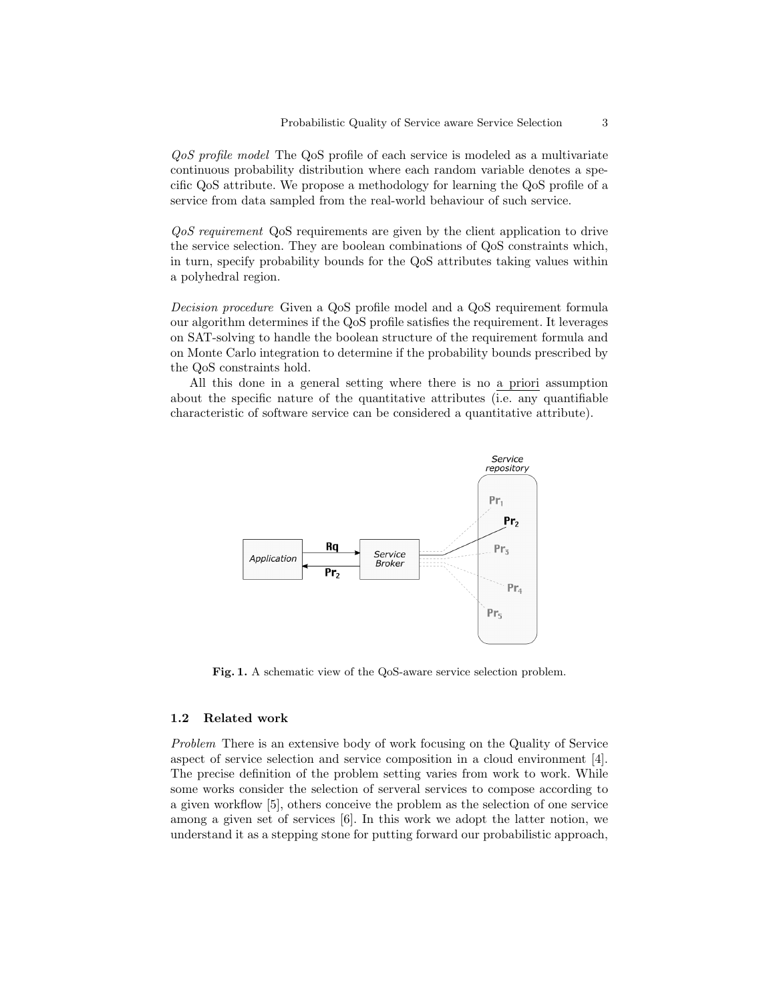QoS profile model The QoS profile of each service is modeled as a multivariate continuous probability distribution where each random variable denotes a specific QoS attribute. We propose a methodology for learning the QoS profile of a service from data sampled from the real-world behaviour of such service.

QoS requirement QoS requirements are given by the client application to drive the service selection. They are boolean combinations of QoS constraints which, in turn, specify probability bounds for the QoS attributes taking values within a polyhedral region.

Decision procedure Given a QoS profile model and a QoS requirement formula our algorithm determines if the QoS profile satisfies the requirement. It leverages on SAT-solving to handle the boolean structure of the requirement formula and on Monte Carlo integration to determine if the probability bounds prescribed by the QoS constraints hold.

All this done in a general setting where there is no a priori assumption about the specific nature of the quantitative attributes (i.e. any quantifiable characteristic of software service can be considered a quantitative attribute).



Fig. 1. A schematic view of the QoS-aware service selection problem.

## 1.2 Related work

Problem There is an extensive body of work focusing on the Quality of Service aspect of service selection and service composition in a cloud environment [4]. The precise definition of the problem setting varies from work to work. While some works consider the selection of serveral services to compose according to a given workflow [5], others conceive the problem as the selection of one service among a given set of services [6]. In this work we adopt the latter notion, we understand it as a stepping stone for putting forward our probabilistic approach,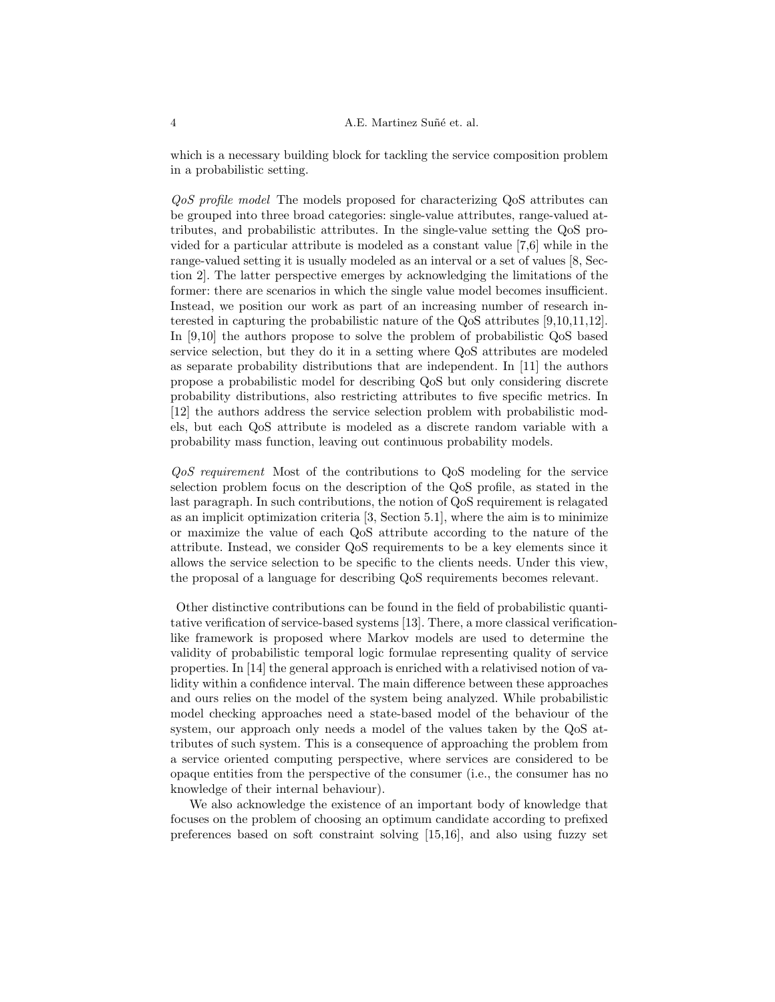which is a necessary building block for tackling the service composition problem in a probabilistic setting.

QoS profile model The models proposed for characterizing QoS attributes can be grouped into three broad categories: single-value attributes, range-valued attributes, and probabilistic attributes. In the single-value setting the QoS provided for a particular attribute is modeled as a constant value [7,6] while in the range-valued setting it is usually modeled as an interval or a set of values [8, Section 2]. The latter perspective emerges by acknowledging the limitations of the former: there are scenarios in which the single value model becomes insufficient. Instead, we position our work as part of an increasing number of research interested in capturing the probabilistic nature of the QoS attributes [9,10,11,12]. In [9,10] the authors propose to solve the problem of probabilistic QoS based service selection, but they do it in a setting where QoS attributes are modeled as separate probability distributions that are independent. In [11] the authors propose a probabilistic model for describing QoS but only considering discrete probability distributions, also restricting attributes to five specific metrics. In [12] the authors address the service selection problem with probabilistic models, but each QoS attribute is modeled as a discrete random variable with a probability mass function, leaving out continuous probability models.

QoS requirement Most of the contributions to QoS modeling for the service selection problem focus on the description of the QoS profile, as stated in the last paragraph. In such contributions, the notion of QoS requirement is relagated as an implicit optimization criteria [3, Section 5.1], where the aim is to minimize or maximize the value of each QoS attribute according to the nature of the attribute. Instead, we consider QoS requirements to be a key elements since it allows the service selection to be specific to the clients needs. Under this view, the proposal of a language for describing QoS requirements becomes relevant.

Other distinctive contributions can be found in the field of probabilistic quantitative verification of service-based systems [13]. There, a more classical verificationlike framework is proposed where Markov models are used to determine the validity of probabilistic temporal logic formulae representing quality of service properties. In [14] the general approach is enriched with a relativised notion of validity within a confidence interval. The main difference between these approaches and ours relies on the model of the system being analyzed. While probabilistic model checking approaches need a state-based model of the behaviour of the system, our approach only needs a model of the values taken by the QoS attributes of such system. This is a consequence of approaching the problem from a service oriented computing perspective, where services are considered to be opaque entities from the perspective of the consumer (i.e., the consumer has no knowledge of their internal behaviour).

We also acknowledge the existence of an important body of knowledge that focuses on the problem of choosing an optimum candidate according to prefixed preferences based on soft constraint solving [15,16], and also using fuzzy set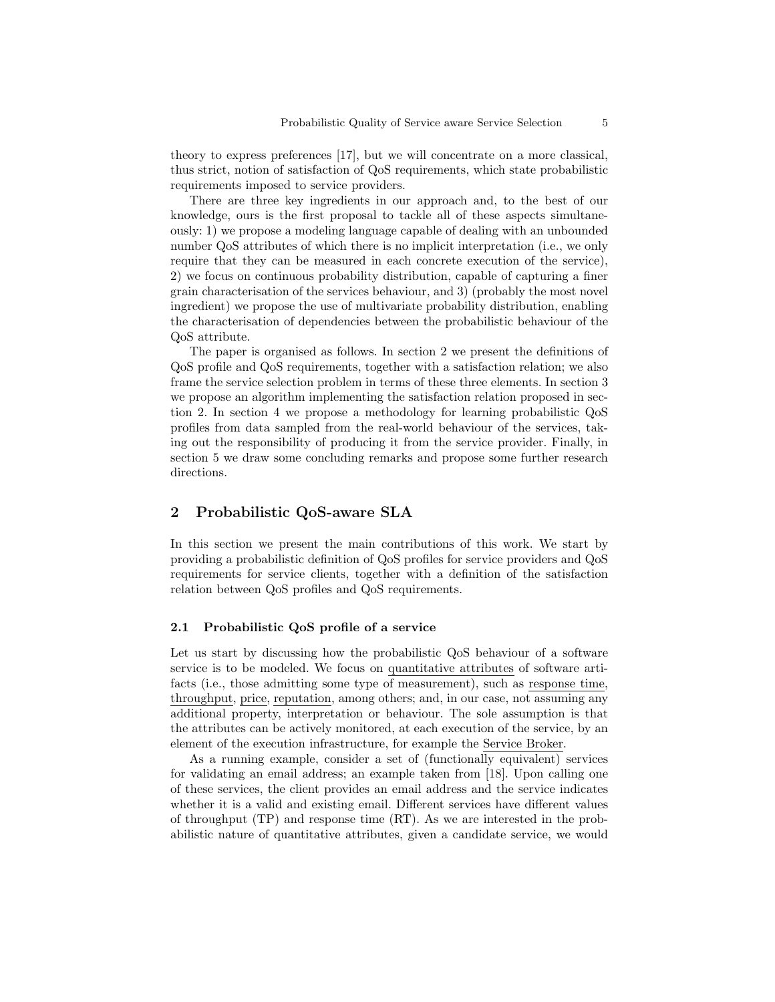theory to express preferences [17], but we will concentrate on a more classical, thus strict, notion of satisfaction of QoS requirements, which state probabilistic requirements imposed to service providers.

There are three key ingredients in our approach and, to the best of our knowledge, ours is the first proposal to tackle all of these aspects simultaneously: 1) we propose a modeling language capable of dealing with an unbounded number QoS attributes of which there is no implicit interpretation (i.e., we only require that they can be measured in each concrete execution of the service), 2) we focus on continuous probability distribution, capable of capturing a finer grain characterisation of the services behaviour, and 3) (probably the most novel ingredient) we propose the use of multivariate probability distribution, enabling the characterisation of dependencies between the probabilistic behaviour of the QoS attribute.

The paper is organised as follows. In section 2 we present the definitions of QoS profile and QoS requirements, together with a satisfaction relation; we also frame the service selection problem in terms of these three elements. In section 3 we propose an algorithm implementing the satisfaction relation proposed in section 2. In section 4 we propose a methodology for learning probabilistic QoS profiles from data sampled from the real-world behaviour of the services, taking out the responsibility of producing it from the service provider. Finally, in section 5 we draw some concluding remarks and propose some further research directions.

# 2 Probabilistic QoS-aware SLA

In this section we present the main contributions of this work. We start by providing a probabilistic definition of QoS profiles for service providers and QoS requirements for service clients, together with a definition of the satisfaction relation between QoS profiles and QoS requirements.

#### 2.1 Probabilistic QoS profile of a service

Let us start by discussing how the probabilistic QoS behaviour of a software service is to be modeled. We focus on quantitative attributes of software artifacts (i.e., those admitting some type of measurement), such as response time, throughput, price, reputation, among others; and, in our case, not assuming any additional property, interpretation or behaviour. The sole assumption is that the attributes can be actively monitored, at each execution of the service, by an element of the execution infrastructure, for example the Service Broker.

As a running example, consider a set of (functionally equivalent) services for validating an email address; an example taken from [18]. Upon calling one of these services, the client provides an email address and the service indicates whether it is a valid and existing email. Different services have different values of throughput (TP) and response time (RT). As we are interested in the probabilistic nature of quantitative attributes, given a candidate service, we would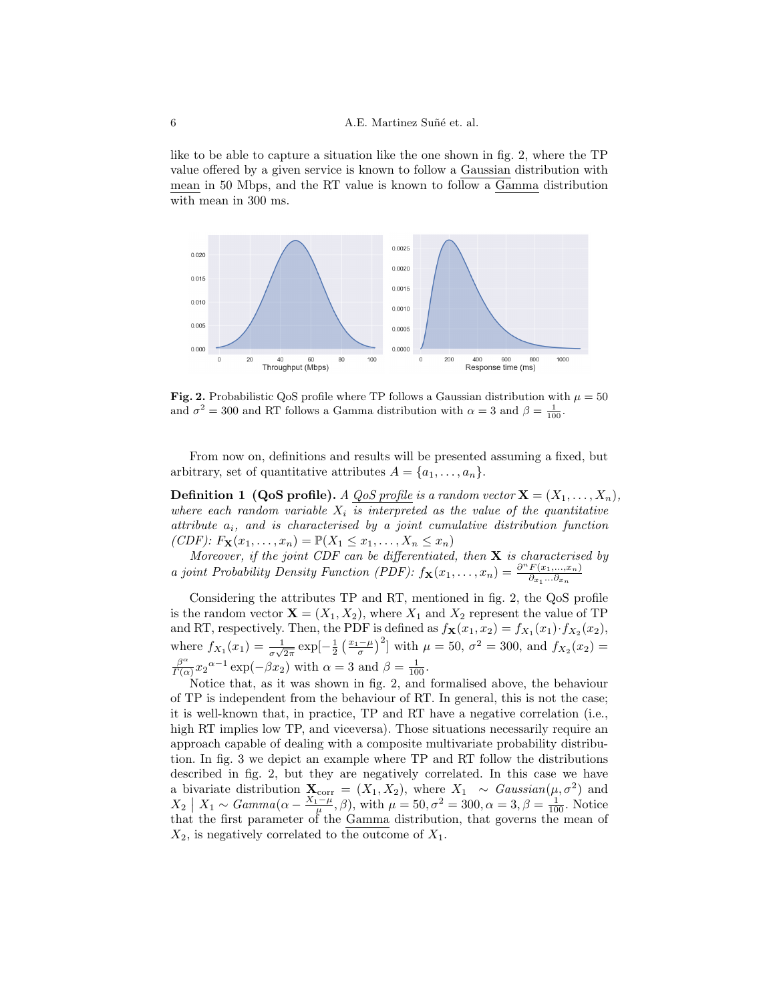like to be able to capture a situation like the one shown in fig. 2, where the TP value offered by a given service is known to follow a Gaussian distribution with mean in 50 Mbps, and the RT value is known to follow a Gamma distribution with mean in 300 ms.



Fig. 2. Probabilistic QoS profile where TP follows a Gaussian distribution with  $\mu = 50$ and  $\sigma^2 = 300$  and RT follows a Gamma distribution with  $\alpha = 3$  and  $\beta = \frac{1}{100}$ .

From now on, definitions and results will be presented assuming a fixed, but arbitrary, set of quantitative attributes  $A = \{a_1, \ldots, a_n\}.$ 

**Definition 1 (QoS profile).** A *QoS profile is a random vector*  $\mathbf{X} = (X_1, \ldots, X_n)$ , where each random variable  $X_i$  is interpreted as the value of the quantitative attribute  $a_i$ , and is characterised by a joint cumulative distribution function (CDF):  $F_{\mathbf{X}}(x_1,...,x_n) = \mathbb{P}(X_1 \le x_1,...,X_n \le x_n)$ 

Moreover, if the joint CDF can be differentiated, then  $X$  is characterised by a joint Probability Density Function (PDF):  $f_{\mathbf{X}}(x_1, \ldots, x_n) = \frac{\partial^n F(x_1, \ldots, x_n)}{\partial x_n}$  $\partial_{x_1}...\partial_{x_n}$ 

Considering the attributes TP and RT, mentioned in fig. 2, the QoS profile is the random vector  $\mathbf{X} = (X_1, X_2)$ , where  $X_1$  and  $X_2$  represent the value of TP and RT, respectively. Then, the PDF is defined as  $f_{\mathbf{X}}(x_1, x_2) = f_{X_1}(x_1) \cdot f_{X_2}(x_2)$ , where  $f_{X_1}(x_1) = \frac{1}{\sigma\sqrt{2\pi}} \exp[-\frac{1}{2} \left(\frac{x_1-\mu}{\sigma}\right)^2]$  with  $\mu = 50$ ,  $\sigma^2 = 300$ , and  $f_{X_2}(x_2) =$  $\beta^{\alpha}$  $\frac{\beta^{\alpha}}{\Gamma(\alpha)} x_2^{\alpha-1} \exp(-\beta x_2)$  with  $\alpha = 3$  and  $\beta = \frac{1}{100}$ .

Notice that, as it was shown in fig. 2, and formalised above, the behaviour of TP is independent from the behaviour of RT. In general, this is not the case; it is well-known that, in practice, TP and RT have a negative correlation (i.e., high RT implies low TP, and viceversa). Those situations necessarily require an approach capable of dealing with a composite multivariate probability distribution. In fig. 3 we depict an example where TP and RT follow the distributions described in fig. 2, but they are negatively correlated. In this case we have a bivariate distribution  $\mathbf{X}_{\text{corr}} = (X_1, X_2)$ , where  $X_1 \sim Gaussian(\mu, \sigma^2)$  and  $X_2 \mid X_1 \sim \text{Gamma}(\alpha - \frac{X_1 - \mu}{\mu}, \beta), \text{ with } \mu = 50, \sigma^2 = 300, \alpha = 3, \beta = \frac{1}{100}.$  Notice that the first parameter of the Gamma distribution, that governs the mean of  $X_2$ , is negatively correlated to the outcome of  $X_1$ .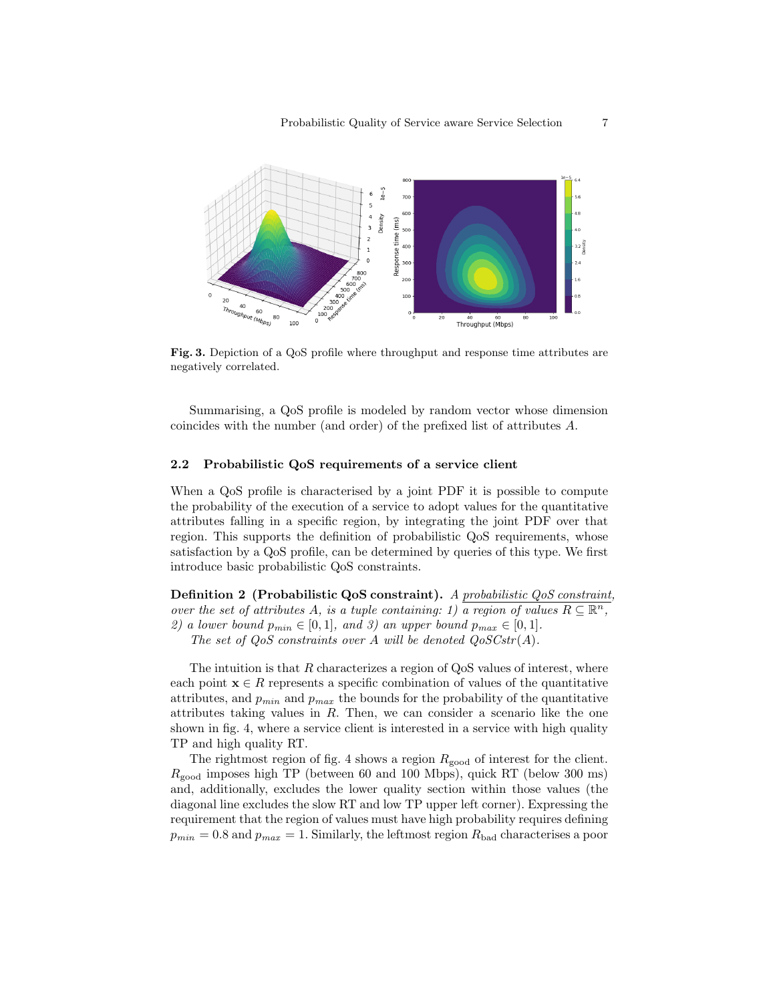

Fig. 3. Depiction of a QoS profile where throughput and response time attributes are negatively correlated.

Summarising, a QoS profile is modeled by random vector whose dimension coincides with the number (and order) of the prefixed list of attributes A.

#### 2.2 Probabilistic QoS requirements of a service client

When a QoS profile is characterised by a joint PDF it is possible to compute the probability of the execution of a service to adopt values for the quantitative attributes falling in a specific region, by integrating the joint PDF over that region. This supports the definition of probabilistic QoS requirements, whose satisfaction by a QoS profile, can be determined by queries of this type. We first introduce basic probabilistic QoS constraints.

Definition 2 (Probabilistic QoS constraint). A probabilistic QoS constraint, over the set of attributes A, is a tuple containing: 1)  $\overline{a}$  region of values  $R \subseteq \mathbb{R}^n$ , 2) a lower bound  $p_{min} \in [0,1]$ , and 3) an upper bound  $p_{max} \in [0,1]$ .

The set of  $QoS$  constraints over A will be denoted  $QoSCstr(A)$ .

The intuition is that  $R$  characterizes a region of  $Q$ oS values of interest, where each point  $\mathbf{x} \in R$  represents a specific combination of values of the quantitative attributes, and  $p_{min}$  and  $p_{max}$  the bounds for the probability of the quantitative attributes taking values in  $R$ . Then, we can consider a scenario like the one shown in fig. 4, where a service client is interested in a service with high quality TP and high quality RT.

The rightmost region of fig. 4 shows a region  $R_{\text{good}}$  of interest for the client.  $R_{\text{good}}$  imposes high TP (between 60 and 100 Mbps), quick RT (below 300 ms) and, additionally, excludes the lower quality section within those values (the diagonal line excludes the slow RT and low TP upper left corner). Expressing the requirement that the region of values must have high probability requires defining  $p_{min} = 0.8$  and  $p_{max} = 1$ . Similarly, the leftmost region  $R_{bad}$  characterises a poor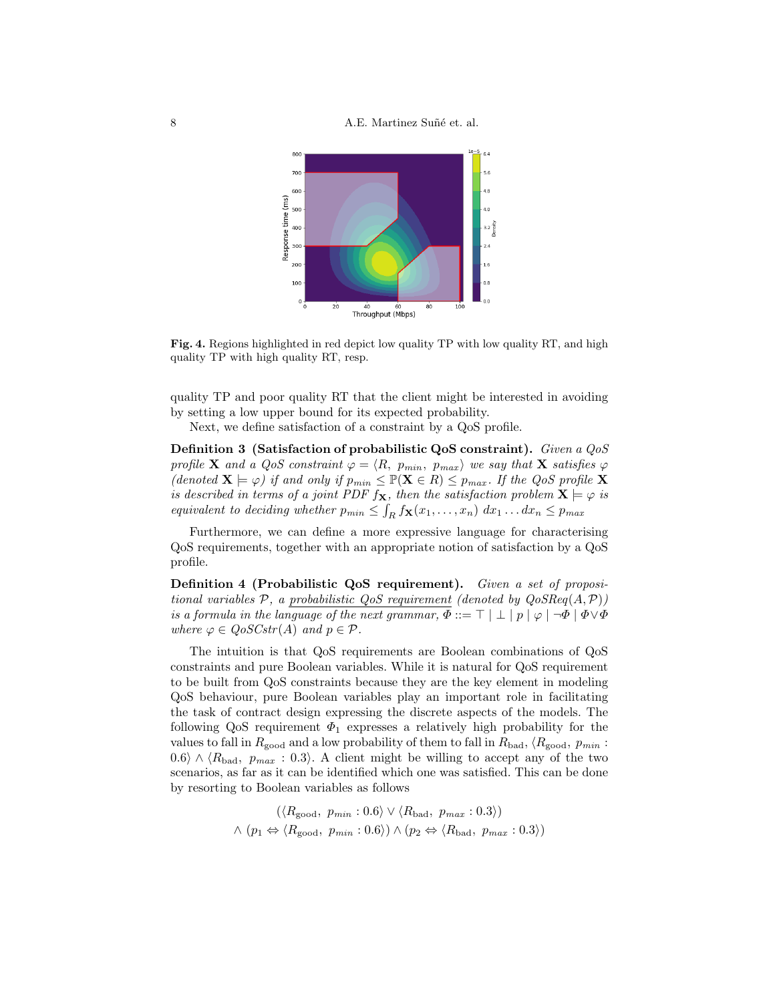8 A.E. Martinez Suñé et. al.



Fig. 4. Regions highlighted in red depict low quality TP with low quality RT, and high quality TP with high quality RT, resp.

quality TP and poor quality RT that the client might be interested in avoiding by setting a low upper bound for its expected probability.

Next, we define satisfaction of a constraint by a QoS profile.

Definition 3 (Satisfaction of probabilistic QoS constraint). Given a QoS profile **X** and a QoS constraint  $\varphi = \langle R, p_{min}, p_{max} \rangle$  we say that **X** satisfies  $\varphi$ (denoted  $\mathbf{X} \models \varphi$ ) if and only if  $p_{min} \leq \mathbb{P}(\mathbf{X} \in R) \leq p_{max}$ . If the QoS profile X is described in terms of a joint PDF  $f_{\mathbf{X}}$ , then the satisfaction problem  $\mathbf{X} \models \varphi$  is equivalent to deciding whether  $p_{min} \leq \int_R f_{\mathbf{X}}(x_1,\ldots,x_n) dx_1 \ldots dx_n \leq p_{max}$ 

Furthermore, we can define a more expressive language for characterising QoS requirements, together with an appropriate notion of satisfaction by a QoS profile.

Definition 4 (Probabilistic QoS requirement). Given a set of propositional variables  $P$ , a probabilistic QoS requirement (denoted by  $QoSReg(A, P)$ ) is a formula in the language of the next grammar,  $\Phi ::= \top | \bot | p | \varphi | \neg \Phi | \Phi \vee \Phi$ where  $\varphi \in Q \circ S \mathcal{C} \mathit{str}(A)$  and  $p \in \mathcal{P}$ .

The intuition is that QoS requirements are Boolean combinations of QoS constraints and pure Boolean variables. While it is natural for QoS requirement to be built from QoS constraints because they are the key element in modeling QoS behaviour, pure Boolean variables play an important role in facilitating the task of contract design expressing the discrete aspects of the models. The following QoS requirement  $\Phi_1$  expresses a relatively high probability for the values to fall in  $R_{\text{good}}$  and a low probability of them to fall in  $R_{\text{bad}}$ ,  $\langle R_{\text{good}}$ ,  $p_{min}$ : 0.6 $\rangle \wedge \langle R_{bad}, p_{max} : 0.3 \rangle$ . A client might be willing to accept any of the two scenarios, as far as it can be identified which one was satisfied. This can be done by resorting to Boolean variables as follows

$$
(\langle R_{\text{good}}, p_{min} : 0.6 \rangle \vee \langle R_{\text{bad}}, p_{max} : 0.3 \rangle)
$$
  

$$
\wedge (p_1 \Leftrightarrow \langle R_{\text{good}}, p_{min} : 0.6 \rangle) \wedge (p_2 \Leftrightarrow \langle R_{\text{bad}}, p_{max} : 0.3 \rangle)
$$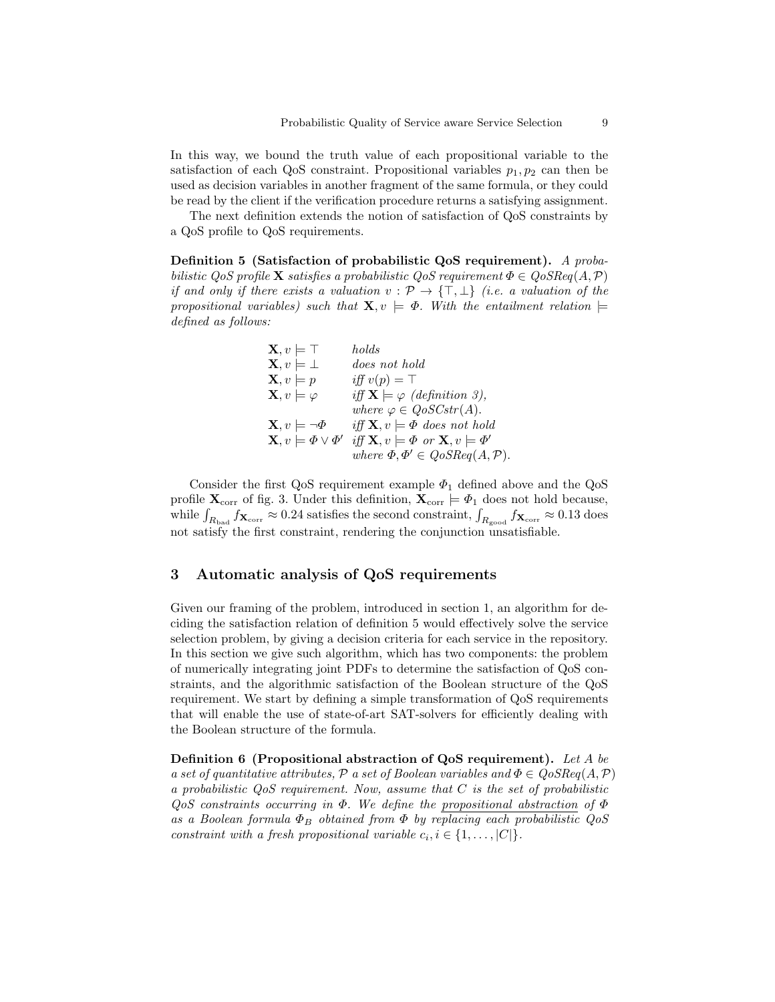In this way, we bound the truth value of each propositional variable to the satisfaction of each QoS constraint. Propositional variables  $p_1, p_2$  can then be used as decision variables in another fragment of the same formula, or they could be read by the client if the verification procedure returns a satisfying assignment.

The next definition extends the notion of satisfaction of QoS constraints by a QoS profile to QoS requirements.

Definition 5 (Satisfaction of probabilistic QoS requirement). A probabilistic QoS profile **X** satisfies a probabilistic QoS requirement  $\Phi \in Q \circ SR$  eq(A, P) if and only if there exists a valuation  $v : \mathcal{P} \to {\{\top, \bot\}}$  (i.e. a valuation of the propositional variables) such that  $\mathbf{X}, v \models \Phi$ . With the entailment relation  $\models$ defined as follows:

| $\mathbf{X}, v \models \top$                  | holds                                                                   |
|-----------------------------------------------|-------------------------------------------------------------------------|
| $\mathbf{X}, v \models \bot$                  | does not hold                                                           |
| $\mathbf{X}, v \models p$                     | iff $v(p) = \top$                                                       |
| $\mathbf{X}, v \models \varphi$               | iff $\mathbf{X} \models \varphi$ (definition 3),                        |
|                                               | where $\varphi \in \mathit{QoSCstr}(A)$ .                               |
| $\mathbf{X}, v \models \neg \Phi$             | iff $X, v \models \Phi$ does not hold                                   |
| $\mathbf{X}, v \models \varPhi \vee \varPhi'$ | iff $\mathbf{X}, v \models \varPhi$ or $\mathbf{X}, v \models \varPhi'$ |
|                                               | where $\Phi, \Phi' \in Q \circ SReq(A, \mathcal{P}).$                   |

Consider the first QoS requirement example  $\Phi_1$  defined above and the QoS profile  $\mathbf{X}_{\text{corr}}$  of fig. 3. Under this definition,  $\mathbf{X}_{\text{corr}} \models \varPhi_1$  does not hold because, while  $\int_{R_{\rm bad}} f_{\rm X_{\rm corr}} \approx 0.24$  satisfies the second constraint,  $\int_{R_{\rm good}} f_{\rm X_{\rm corr}} \approx 0.13$  does not satisfy the first constraint, rendering the conjunction unsatisfiable.

# 3 Automatic analysis of QoS requirements

Given our framing of the problem, introduced in section 1, an algorithm for deciding the satisfaction relation of definition 5 would effectively solve the service selection problem, by giving a decision criteria for each service in the repository. In this section we give such algorithm, which has two components: the problem of numerically integrating joint PDFs to determine the satisfaction of QoS constraints, and the algorithmic satisfaction of the Boolean structure of the QoS requirement. We start by defining a simple transformation of QoS requirements that will enable the use of state-of-art SAT-solvers for efficiently dealing with the Boolean structure of the formula.

Definition 6 (Propositional abstraction of QoS requirement). Let A be a set of quantitative attributes, P a set of Boolean variables and  $\Phi \in QoSReg(A, \mathcal{P})$ a probabilistic QoS requirement. Now, assume that C is the set of probabilistic  $Q$ oS constraints occurring in  $\Phi$ . We define the propositional abstraction of  $\Phi$ as a Boolean formula  $\Phi_B$  obtained from  $\Phi$  by replacing each probabilistic  $Q \circ S$ constraint with a fresh propositional variable  $c_i, i \in \{1, \ldots, |C|\}.$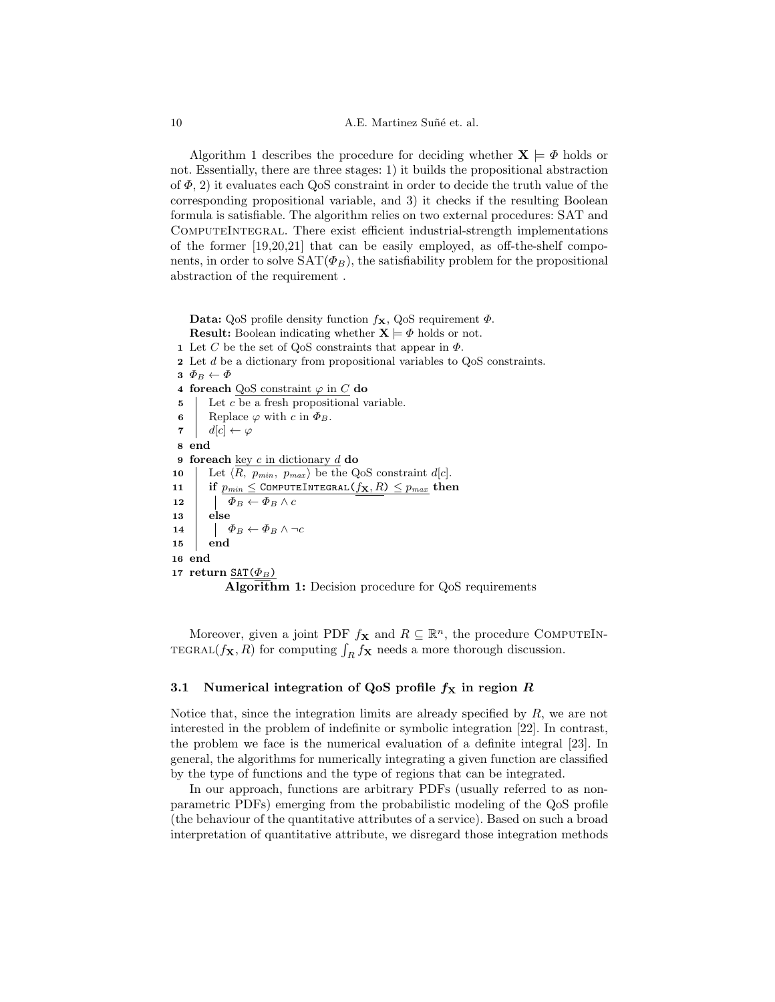10 A.E. Martinez Suñé et. al.

Algorithm 1 describes the procedure for deciding whether  $X \models \Phi$  holds or not. Essentially, there are three stages: 1) it builds the propositional abstraction of  $\Phi$ , 2) it evaluates each QoS constraint in order to decide the truth value of the corresponding propositional variable, and 3) it checks if the resulting Boolean formula is satisfiable. The algorithm relies on two external procedures: SAT and ComputeIntegral. There exist efficient industrial-strength implementations of the former [19,20,21] that can be easily employed, as off-the-shelf components, in order to solve  $SAT(\Phi_B)$ , the satisfiability problem for the propositional abstraction of the requirement .

Data: QoS profile density function  $f_{\mathbf{X}}$ , QoS requirement  $\Phi$ .

**Result:** Boolean indicating whether  $X \models \Phi$  holds or not. 1 Let C be the set of QoS constraints that appear in  $\Phi$ . 2 Let d be a dictionary from propositional variables to QoS constraints.  $\mathbf{3} \ \Phi_B \leftarrow \Phi$ 4 foreach QoS constraint  $\varphi$  in  $C$  do  $\mathbf{5}$  Let c be a fresh propositional variable. 6 Replace  $\varphi$  with c in  $\Phi_B$ . 7  $d[c] \leftarrow \varphi$ 8 end 9 foreach key  $c$  in dictionary  $d$  do 10 Let  $\langle R, p_{min}, p_{max} \rangle$  be the QoS constraint d[c]. 11 if  $p_{min} \leq$  COMPUTEINTEGRAL $(f_{\mathbf{X}}, R) \leq p_{max}$  then 12  $\left| \phi_B \leftarrow \Phi_B \wedge c \right|$ 13 else 14  $\vert \quad \vert \quad \Phi_B \leftarrow \Phi_B \land \neg c$ 15 end 16 end 17 return  $\text{SAT}(\Phi_B)$ Algorithm 1: Decision procedure for QoS requirements

Moreover, given a joint PDF  $f_{\mathbf{X}}$  and  $R \subseteq \mathbb{R}^n$ , the procedure COMPUTEIN-TEGRAL $(f_{\mathbf{X}}, R)$  for computing  $\int_R f_{\mathbf{X}}$  needs a more thorough discussion.

### 3.1 Numerical integration of QoS profile  $f<sub>X</sub>$  in region R

Notice that, since the integration limits are already specified by  $R$ , we are not interested in the problem of indefinite or symbolic integration [22]. In contrast, the problem we face is the numerical evaluation of a definite integral [23]. In general, the algorithms for numerically integrating a given function are classified by the type of functions and the type of regions that can be integrated.

In our approach, functions are arbitrary PDFs (usually referred to as nonparametric PDFs) emerging from the probabilistic modeling of the QoS profile (the behaviour of the quantitative attributes of a service). Based on such a broad interpretation of quantitative attribute, we disregard those integration methods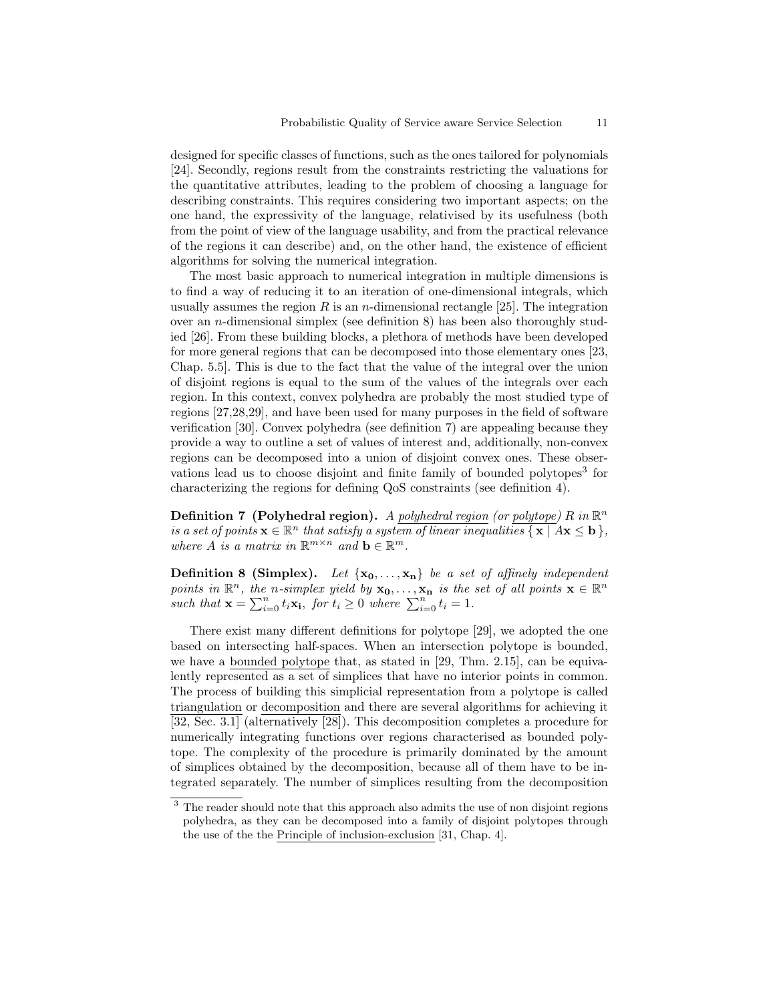designed for specific classes of functions, such as the ones tailored for polynomials [24]. Secondly, regions result from the constraints restricting the valuations for the quantitative attributes, leading to the problem of choosing a language for describing constraints. This requires considering two important aspects; on the one hand, the expressivity of the language, relativised by its usefulness (both from the point of view of the language usability, and from the practical relevance of the regions it can describe) and, on the other hand, the existence of efficient algorithms for solving the numerical integration.

The most basic approach to numerical integration in multiple dimensions is to find a way of reducing it to an iteration of one-dimensional integrals, which usually assumes the region R is an n-dimensional rectangle [25]. The integration over an *n*-dimensional simplex (see definition 8) has been also thoroughly studied [26]. From these building blocks, a plethora of methods have been developed for more general regions that can be decomposed into those elementary ones [23, Chap. 5.5]. This is due to the fact that the value of the integral over the union of disjoint regions is equal to the sum of the values of the integrals over each region. In this context, convex polyhedra are probably the most studied type of regions [27,28,29], and have been used for many purposes in the field of software verification [30]. Convex polyhedra (see definition 7) are appealing because they provide a way to outline a set of values of interest and, additionally, non-convex regions can be decomposed into a union of disjoint convex ones. These observations lead us to choose disjoint and finite family of bounded polytopes<sup>3</sup> for characterizing the regions for defining QoS constraints (see definition 4).

**Definition 7 (Polyhedral region).** A polyhedral region (or polytope) R in  $\mathbb{R}^n$ is a set of points  $\mathbf{x} \in \mathbb{R}^n$  that satisfy a system of linear inequalities  $\{ \mathbf{x} \mid A\mathbf{x} \leq \mathbf{b} \},$ where A is a matrix in  $\mathbb{R}^{m \times n}$  and  $\mathbf{b} \in \mathbb{R}^m$ .

**Definition 8 (Simplex).** Let  $\{x_0, \ldots, x_n\}$  be a set of affinely independent points in  $\mathbb{R}^n$ , the n-simplex yield by  $x_0, \ldots, x_n$  is the set of all points  $x \in \mathbb{R}^n$ such that  $\mathbf{x} = \sum_{i=0}^{n} t_i \mathbf{x}_i$ , for  $t_i \geq 0$  where  $\sum_{i=0}^{n} t_i = 1$ .

There exist many different definitions for polytope [29], we adopted the one based on intersecting half-spaces. When an intersection polytope is bounded, we have a bounded polytope that, as stated in [29, Thm. 2.15], can be equivalently represented as a set of simplices that have no interior points in common. The process of building this simplicial representation from a polytope is called triangulation or decomposition and there are several algorithms for achieving it [32, Sec. 3.1] (alternatively [28]). This decomposition completes a procedure for numerically integrating functions over regions characterised as bounded polytope. The complexity of the procedure is primarily dominated by the amount of simplices obtained by the decomposition, because all of them have to be integrated separately. The number of simplices resulting from the decomposition

<sup>&</sup>lt;sup>3</sup> The reader should note that this approach also admits the use of non disjoint regions polyhedra, as they can be decomposed into a family of disjoint polytopes through the use of the the Principle of inclusion-exclusion [31, Chap. 4].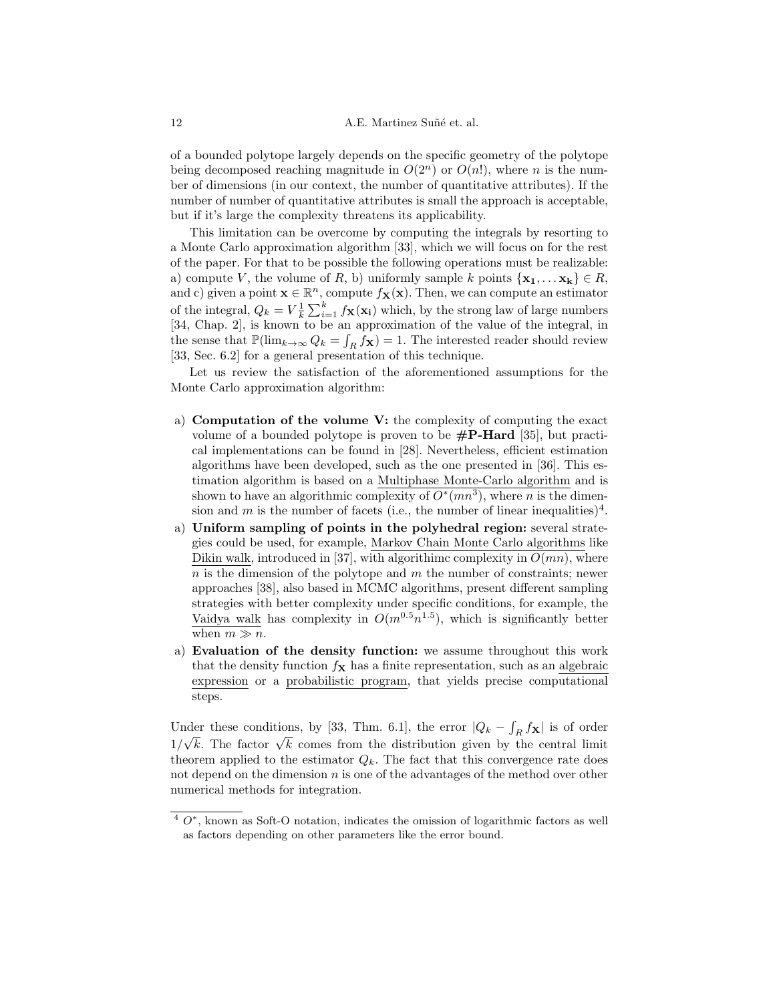of a bounded polytope largely depends on the specific geometry of the polytope being decomposed reaching magnitude in  $O(2<sup>n</sup>)$  or  $O(n!)$ , where *n* is the number of dimensions (in our context, the number of quantitative attributes). If the number of number of quantitative attributes is small the approach is acceptable, but if it's large the complexity threatens its applicability.

This limitation can be overcome by computing the integrals by resorting to a Monte Carlo approximation algorithm [33], which we will focus on for the rest of the paper. For that to be possible the following operations must be realizable: a) compute V, the volume of R, b) uniformly sample k points  $\{x_1, \ldots x_k\} \in R$ , and c) given a point  $\mathbf{x} \in \mathbb{R}^n$ , compute  $f_{\mathbf{X}}(\mathbf{x})$ . Then, we can compute an estimator of the integral,  $Q_k = V_k^1 \sum_{i=1}^k f_{\mathbf{X}}(\mathbf{x_i})$  which, by the strong law of large numbers [34, Chap. 2], is known to be an approximation of the value of the integral, in the sense that  $\mathbb{P}(\lim_{k\to\infty} Q_k = \int_R f_{\mathbf{X}}) = 1$ . The interested reader should review [33, Sec. 6.2] for a general presentation of this technique.

Let us review the satisfaction of the aforementioned assumptions for the Monte Carlo approximation algorithm:

- a) Computation of the volume V: the complexity of computing the exact volume of a bounded polytope is proven to be  $\#\mathbf{P}\text{-}\mathbf{Hard}$  [35], but practical implementations can be found in [28]. Nevertheless, efficient estimation algorithms have been developed, such as the one presented in [36]. This estimation algorithm is based on a Multiphase Monte-Carlo algorithm and is shown to have an algorithmic complexity of  $O^*(mn^3)$ , where *n* is the dimension and m is the number of facets (i.e., the number of linear inequalities)<sup>4</sup>.
- a) Uniform sampling of points in the polyhedral region: several strategies could be used, for example, Markov Chain Monte Carlo algorithms like Dikin walk, introduced in [37], with algorithimc complexity in  $O(mn)$ , where  $n$  is the dimension of the polytope and  $m$  the number of constraints; newer approaches [38], also based in MCMC algorithms, present different sampling strategies with better complexity under specific conditions, for example, the Vaidya walk has complexity in  $O(m^{0.5}n^{1.5})$ , which is significantly better when  $m \gg n$ .
- a) Evaluation of the density function: we assume throughout this work that the density function  $f_{\mathbf{X}}$  has a finite representation, such as an algebraic expression or a probabilistic program, that yields precise computational steps.

Under these conditions, by [33, Thm. 6.1], the error  $|Q_k - \int_R f_{\mathbf{X}}|$  is of order Under these conditions, by [55, 1 limit 0.1], the error  $|\psi_k - f_R f(\mathbf{x})|$  is of order  $1/\sqrt{k}$ . The factor  $\sqrt{k}$  comes from the distribution given by the central limit theorem applied to the estimator  $Q_k$ . The fact that this convergence rate does not depend on the dimension  $n$  is one of the advantages of the method over other numerical methods for integration.

 $4 \, O^*$ , known as Soft-O notation, indicates the omission of logarithmic factors as well as factors depending on other parameters like the error bound.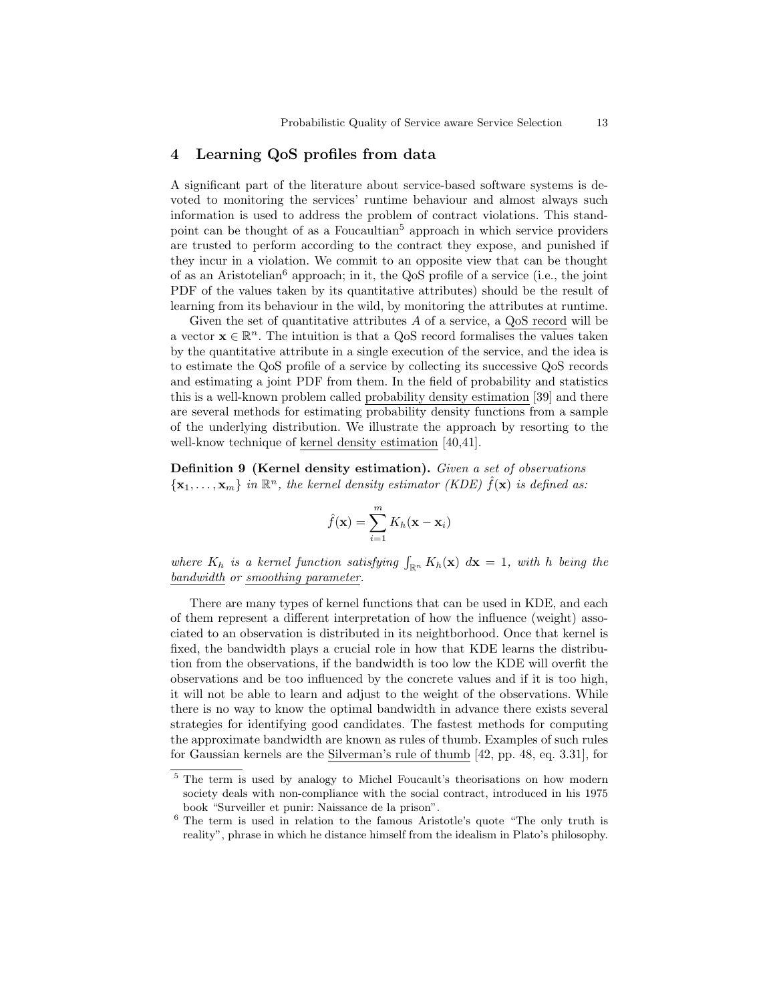## 4 Learning QoS profiles from data

A significant part of the literature about service-based software systems is devoted to monitoring the services' runtime behaviour and almost always such information is used to address the problem of contract violations. This standpoint can be thought of as a Foucaultian<sup>5</sup> approach in which service providers are trusted to perform according to the contract they expose, and punished if they incur in a violation. We commit to an opposite view that can be thought of as an Aristotelian<sup>6</sup> approach; in it, the QoS profile of a service (i.e., the joint PDF of the values taken by its quantitative attributes) should be the result of learning from its behaviour in the wild, by monitoring the attributes at runtime.

Given the set of quantitative attributes A of a service, a QoS record will be a vector  $\mathbf{x} \in \mathbb{R}^n$ . The intuition is that a QoS record formalises the values taken by the quantitative attribute in a single execution of the service, and the idea is to estimate the QoS profile of a service by collecting its successive QoS records and estimating a joint PDF from them. In the field of probability and statistics this is a well-known problem called probability density estimation [39] and there are several methods for estimating probability density functions from a sample of the underlying distribution. We illustrate the approach by resorting to the well-know technique of kernel density estimation [40,41].

Definition 9 (Kernel density estimation). Given a set of observations  $\{ {\bf x}_1, \ldots, {\bf x}_m \}$  in  $\mathbb{R}^n$ , the kernel density estimator (KDE)  $\hat{f}({\bf x})$  is defined as:

$$
\hat{f}(\mathbf{x}) = \sum_{i=1}^{m} K_h(\mathbf{x} - \mathbf{x}_i)
$$

where  $K_h$  is a kernel function satisfying  $\int_{\mathbb{R}^n} K_h(\mathbf{x}) d\mathbf{x} = 1$ , with h being the bandwidth or smoothing parameter.

There are many types of kernel functions that can be used in KDE, and each of them represent a different interpretation of how the influence (weight) associated to an observation is distributed in its neightborhood. Once that kernel is fixed, the bandwidth plays a crucial role in how that KDE learns the distribution from the observations, if the bandwidth is too low the KDE will overfit the observations and be too influenced by the concrete values and if it is too high, it will not be able to learn and adjust to the weight of the observations. While there is no way to know the optimal bandwidth in advance there exists several strategies for identifying good candidates. The fastest methods for computing the approximate bandwidth are known as rules of thumb. Examples of such rules for Gaussian kernels are the Silverman's rule of thumb [42, pp. 48, eq. 3.31], for

<sup>&</sup>lt;sup>5</sup> The term is used by analogy to Michel Foucault's theorisations on how modern society deals with non-compliance with the social contract, introduced in his 1975 book "Surveiller et punir: Naissance de la prison".

 $6$  The term is used in relation to the famous Aristotle's quote "The only truth is reality", phrase in which he distance himself from the idealism in Plato's philosophy.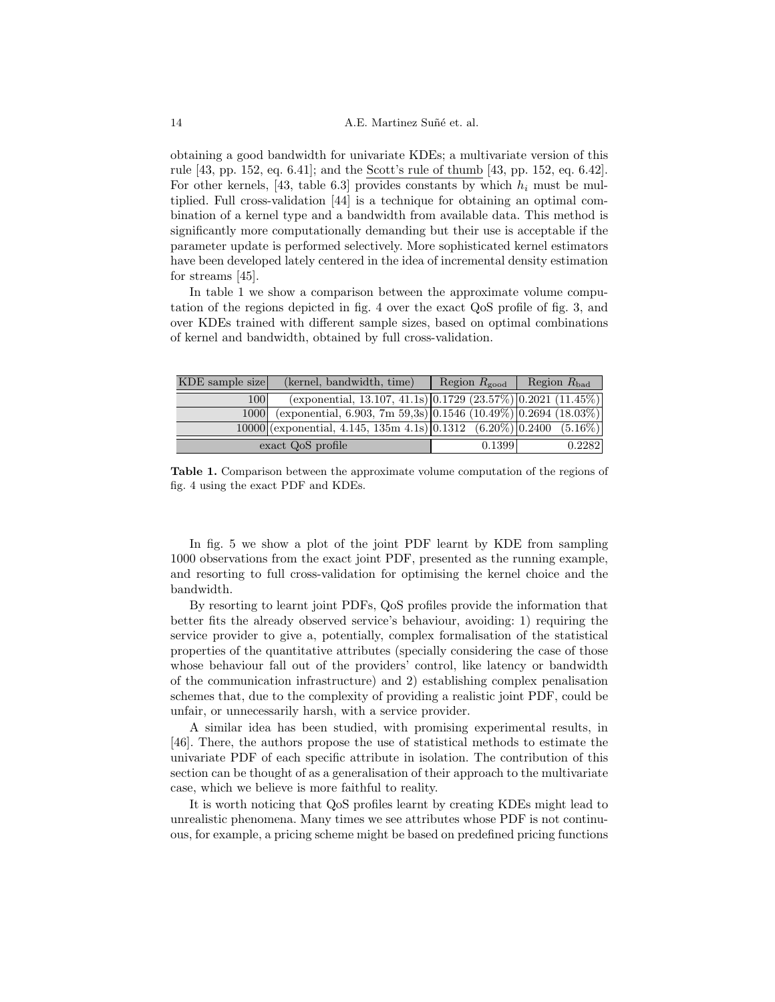obtaining a good bandwidth for univariate KDEs; a multivariate version of this rule [43, pp. 152, eq. 6.41]; and the Scott's rule of thumb [43, pp. 152, eq. 6.42]. For other kernels, [43, table 6.3] provides constants by which  $h_i$  must be multiplied. Full cross-validation [44] is a technique for obtaining an optimal combination of a kernel type and a bandwidth from available data. This method is significantly more computationally demanding but their use is acceptable if the parameter update is performed selectively. More sophisticated kernel estimators have been developed lately centered in the idea of incremental density estimation for streams [45].

In table 1 we show a comparison between the approximate volume computation of the regions depicted in fig. 4 over the exact QoS profile of fig. 3, and over KDEs trained with different sample sizes, based on optimal combinations of kernel and bandwidth, obtained by full cross-validation.

| KDE sample size   | (kernel, bandwidth, time)                                                     | Region $R_{\text{good}}$ Region $R_{\text{bad}}$ |        |
|-------------------|-------------------------------------------------------------------------------|--------------------------------------------------|--------|
| 100               | $(\alpha)$ (exponential, 13.107, 41.1s) 0.1729 (23.57%) 0.2021 (11.45%)       |                                                  |        |
| 1000              | (exponential, 6.903, 7m 59,3s) $\boxed{0.1546 (10.49\%) \ [0.2694 (18.03\%)}$ |                                                  |        |
|                   | $10000$ (exponential, 4.145, 135m 4.1s) 0.1312 $(6.20\%)$ 0.2400 $(5.16\%)$   |                                                  |        |
| exact QoS profile |                                                                               | 0.1399                                           | 0.2282 |

Table 1. Comparison between the approximate volume computation of the regions of fig. 4 using the exact PDF and KDEs.

In fig. 5 we show a plot of the joint PDF learnt by KDE from sampling 1000 observations from the exact joint PDF, presented as the running example, and resorting to full cross-validation for optimising the kernel choice and the bandwidth.

By resorting to learnt joint PDFs, QoS profiles provide the information that better fits the already observed service's behaviour, avoiding: 1) requiring the service provider to give a, potentially, complex formalisation of the statistical properties of the quantitative attributes (specially considering the case of those whose behaviour fall out of the providers' control, like latency or bandwidth of the communication infrastructure) and 2) establishing complex penalisation schemes that, due to the complexity of providing a realistic joint PDF, could be unfair, or unnecessarily harsh, with a service provider.

A similar idea has been studied, with promising experimental results, in [46]. There, the authors propose the use of statistical methods to estimate the univariate PDF of each specific attribute in isolation. The contribution of this section can be thought of as a generalisation of their approach to the multivariate case, which we believe is more faithful to reality.

It is worth noticing that QoS profiles learnt by creating KDEs might lead to unrealistic phenomena. Many times we see attributes whose PDF is not continuous, for example, a pricing scheme might be based on predefined pricing functions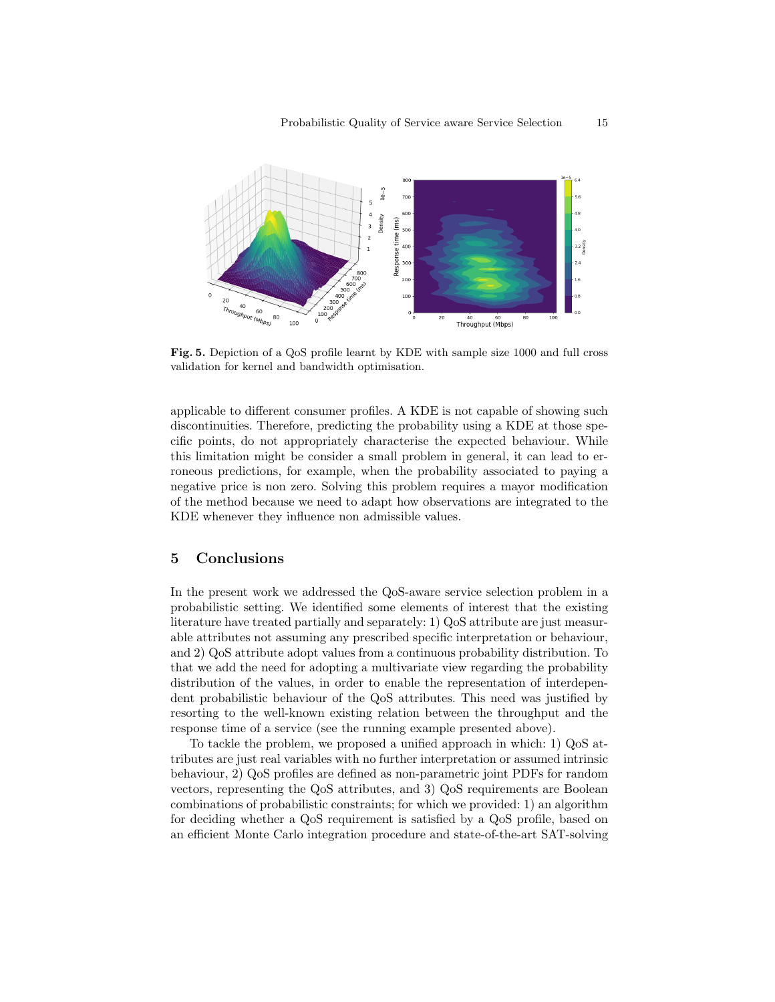

Fig. 5. Depiction of a QoS profile learnt by KDE with sample size 1000 and full cross validation for kernel and bandwidth optimisation.

applicable to different consumer profiles. A KDE is not capable of showing such discontinuities. Therefore, predicting the probability using a KDE at those specific points, do not appropriately characterise the expected behaviour. While this limitation might be consider a small problem in general, it can lead to erroneous predictions, for example, when the probability associated to paying a negative price is non zero. Solving this problem requires a mayor modification of the method because we need to adapt how observations are integrated to the KDE whenever they influence non admissible values.

## 5 Conclusions

In the present work we addressed the QoS-aware service selection problem in a probabilistic setting. We identified some elements of interest that the existing literature have treated partially and separately: 1) QoS attribute are just measurable attributes not assuming any prescribed specific interpretation or behaviour, and 2) QoS attribute adopt values from a continuous probability distribution. To that we add the need for adopting a multivariate view regarding the probability distribution of the values, in order to enable the representation of interdependent probabilistic behaviour of the QoS attributes. This need was justified by resorting to the well-known existing relation between the throughput and the response time of a service (see the running example presented above).

To tackle the problem, we proposed a unified approach in which: 1) QoS attributes are just real variables with no further interpretation or assumed intrinsic behaviour, 2) QoS profiles are defined as non-parametric joint PDFs for random vectors, representing the QoS attributes, and 3) QoS requirements are Boolean combinations of probabilistic constraints; for which we provided: 1) an algorithm for deciding whether a QoS requirement is satisfied by a QoS profile, based on an efficient Monte Carlo integration procedure and state-of-the-art SAT-solving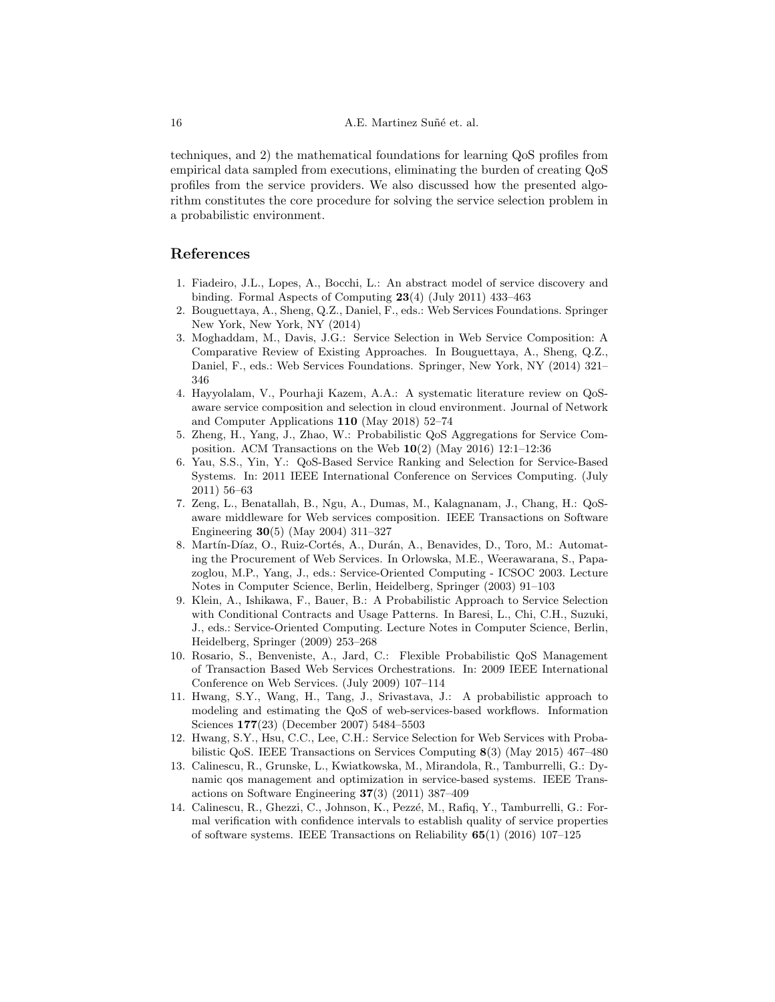techniques, and 2) the mathematical foundations for learning QoS profiles from empirical data sampled from executions, eliminating the burden of creating QoS profiles from the service providers. We also discussed how the presented algorithm constitutes the core procedure for solving the service selection problem in a probabilistic environment.

## References

- 1. Fiadeiro, J.L., Lopes, A., Bocchi, L.: An abstract model of service discovery and binding. Formal Aspects of Computing 23(4) (July 2011) 433–463
- 2. Bouguettaya, A., Sheng, Q.Z., Daniel, F., eds.: Web Services Foundations. Springer New York, New York, NY (2014)
- 3. Moghaddam, M., Davis, J.G.: Service Selection in Web Service Composition: A Comparative Review of Existing Approaches. In Bouguettaya, A., Sheng, Q.Z., Daniel, F., eds.: Web Services Foundations. Springer, New York, NY (2014) 321– 346
- 4. Hayyolalam, V., Pourhaji Kazem, A.A.: A systematic literature review on QoSaware service composition and selection in cloud environment. Journal of Network and Computer Applications 110 (May 2018) 52–74
- 5. Zheng, H., Yang, J., Zhao, W.: Probabilistic QoS Aggregations for Service Composition. ACM Transactions on the Web  $10(2)$  (May 2016) 12:1-12:36
- 6. Yau, S.S., Yin, Y.: QoS-Based Service Ranking and Selection for Service-Based Systems. In: 2011 IEEE International Conference on Services Computing. (July 2011) 56–63
- 7. Zeng, L., Benatallah, B., Ngu, A., Dumas, M., Kalagnanam, J., Chang, H.: QoSaware middleware for Web services composition. IEEE Transactions on Software Engineering 30(5) (May 2004) 311–327
- 8. Martín-Díaz, O., Ruiz-Cortés, A., Durán, A., Benavides, D., Toro, M.: Automating the Procurement of Web Services. In Orlowska, M.E., Weerawarana, S., Papazoglou, M.P., Yang, J., eds.: Service-Oriented Computing - ICSOC 2003. Lecture Notes in Computer Science, Berlin, Heidelberg, Springer (2003) 91–103
- 9. Klein, A., Ishikawa, F., Bauer, B.: A Probabilistic Approach to Service Selection with Conditional Contracts and Usage Patterns. In Baresi, L., Chi, C.H., Suzuki, J., eds.: Service-Oriented Computing. Lecture Notes in Computer Science, Berlin, Heidelberg, Springer (2009) 253–268
- 10. Rosario, S., Benveniste, A., Jard, C.: Flexible Probabilistic QoS Management of Transaction Based Web Services Orchestrations. In: 2009 IEEE International Conference on Web Services. (July 2009) 107–114
- 11. Hwang, S.Y., Wang, H., Tang, J., Srivastava, J.: A probabilistic approach to modeling and estimating the QoS of web-services-based workflows. Information Sciences 177(23) (December 2007) 5484–5503
- 12. Hwang, S.Y., Hsu, C.C., Lee, C.H.: Service Selection for Web Services with Probabilistic QoS. IEEE Transactions on Services Computing 8(3) (May 2015) 467–480
- 13. Calinescu, R., Grunske, L., Kwiatkowska, M., Mirandola, R., Tamburrelli, G.: Dynamic qos management and optimization in service-based systems. IEEE Transactions on Software Engineering 37(3) (2011) 387–409
- 14. Calinescu, R., Ghezzi, C., Johnson, K., Pezzé, M., Rafiq, Y., Tamburrelli, G.: Formal verification with confidence intervals to establish quality of service properties of software systems. IEEE Transactions on Reliability 65(1) (2016) 107–125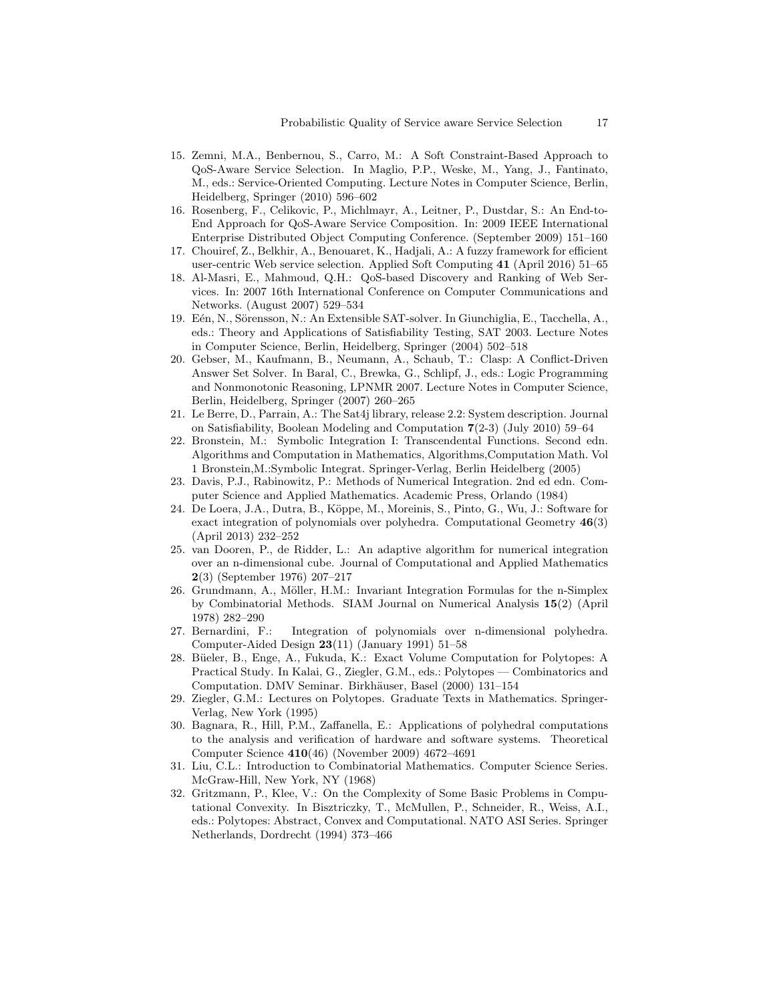- 15. Zemni, M.A., Benbernou, S., Carro, M.: A Soft Constraint-Based Approach to QoS-Aware Service Selection. In Maglio, P.P., Weske, M., Yang, J., Fantinato, M., eds.: Service-Oriented Computing. Lecture Notes in Computer Science, Berlin, Heidelberg, Springer (2010) 596–602
- 16. Rosenberg, F., Celikovic, P., Michlmayr, A., Leitner, P., Dustdar, S.: An End-to-End Approach for QoS-Aware Service Composition. In: 2009 IEEE International Enterprise Distributed Object Computing Conference. (September 2009) 151–160
- 17. Chouiref, Z., Belkhir, A., Benouaret, K., Hadjali, A.: A fuzzy framework for efficient user-centric Web service selection. Applied Soft Computing 41 (April 2016) 51–65
- 18. Al-Masri, E., Mahmoud, Q.H.: QoS-based Discovery and Ranking of Web Services. In: 2007 16th International Conference on Computer Communications and Networks. (August 2007) 529–534
- 19. Eén, N., Sörensson, N.: An Extensible SAT-solver. In Giunchiglia, E., Tacchella, A., eds.: Theory and Applications of Satisfiability Testing, SAT 2003. Lecture Notes in Computer Science, Berlin, Heidelberg, Springer (2004) 502–518
- 20. Gebser, M., Kaufmann, B., Neumann, A., Schaub, T.: Clasp: A Conflict-Driven Answer Set Solver. In Baral, C., Brewka, G., Schlipf, J., eds.: Logic Programming and Nonmonotonic Reasoning, LPNMR 2007. Lecture Notes in Computer Science, Berlin, Heidelberg, Springer (2007) 260–265
- 21. Le Berre, D., Parrain, A.: The Sat4j library, release 2.2: System description. Journal on Satisfiability, Boolean Modeling and Computation 7(2-3) (July 2010) 59–64
- 22. Bronstein, M.: Symbolic Integration I: Transcendental Functions. Second edn. Algorithms and Computation in Mathematics, Algorithms,Computation Math. Vol 1 Bronstein,M.:Symbolic Integrat. Springer-Verlag, Berlin Heidelberg (2005)
- 23. Davis, P.J., Rabinowitz, P.: Methods of Numerical Integration. 2nd ed edn. Computer Science and Applied Mathematics. Academic Press, Orlando (1984)
- 24. De Loera, J.A., Dutra, B., K¨oppe, M., Moreinis, S., Pinto, G., Wu, J.: Software for exact integration of polynomials over polyhedra. Computational Geometry 46(3) (April 2013) 232–252
- 25. van Dooren, P., de Ridder, L.: An adaptive algorithm for numerical integration over an n-dimensional cube. Journal of Computational and Applied Mathematics 2(3) (September 1976) 207–217
- 26. Grundmann, A., Möller, H.M.: Invariant Integration Formulas for the n-Simplex by Combinatorial Methods. SIAM Journal on Numerical Analysis 15(2) (April 1978) 282–290
- 27. Bernardini, F.: Integration of polynomials over n-dimensional polyhedra. Computer-Aided Design 23(11) (January 1991) 51–58
- 28. Büeler, B., Enge, A., Fukuda, K.: Exact Volume Computation for Polytopes: A Practical Study. In Kalai, G., Ziegler, G.M., eds.: Polytopes — Combinatorics and Computation. DMV Seminar. Birkhäuser, Basel (2000) 131-154
- 29. Ziegler, G.M.: Lectures on Polytopes. Graduate Texts in Mathematics. Springer-Verlag, New York (1995)
- 30. Bagnara, R., Hill, P.M., Zaffanella, E.: Applications of polyhedral computations to the analysis and verification of hardware and software systems. Theoretical Computer Science 410(46) (November 2009) 4672–4691
- 31. Liu, C.L.: Introduction to Combinatorial Mathematics. Computer Science Series. McGraw-Hill, New York, NY (1968)
- 32. Gritzmann, P., Klee, V.: On the Complexity of Some Basic Problems in Computational Convexity. In Bisztriczky, T., McMullen, P., Schneider, R., Weiss, A.I., eds.: Polytopes: Abstract, Convex and Computational. NATO ASI Series. Springer Netherlands, Dordrecht (1994) 373–466